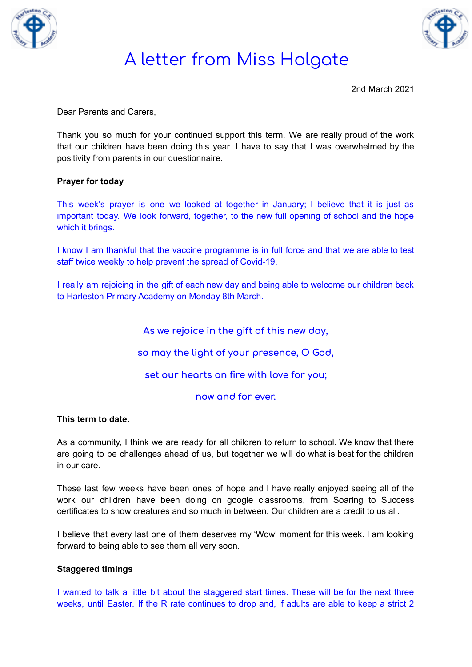



2nd March 2021

Dear Parents and Carers,

Thank you so much for your continued support this term. We are really proud of the work that our children have been doing this year. I have to say that I was overwhelmed by the positivity from parents in our questionnaire.

### **Prayer for today**

This week's prayer is one we looked at together in January; I believe that it is just as important today. We look forward, together, to the new full opening of school and the hope which it brings.

I know I am thankful that the vaccine programme is in full force and that we are able to test staff twice weekly to help prevent the spread of Covid-19.

I really am rejoicing in the gift of each new day and being able to welcome our children back to Harleston Primary Academy on Monday 8th March.

**As we rejoice in the gift of this new day,**

**so may the light of your presence, O God,**

**set our hearts on fire with love for you;**

**now and for ever.**

#### **This term to date.**

As a community, I think we are ready for all children to return to school. We know that there are going to be challenges ahead of us, but together we will do what is best for the children in our care.

These last few weeks have been ones of hope and I have really enjoyed seeing all of the work our children have been doing on google classrooms, from Soaring to Success certificates to snow creatures and so much in between. Our children are a credit to us all.

I believe that every last one of them deserves my 'Wow' moment for this week. I am looking forward to being able to see them all very soon.

#### **Staggered timings**

I wanted to talk a little bit about the staggered start times. These will be for the next three weeks, until Easter. If the R rate continues to drop and, if adults are able to keep a strict 2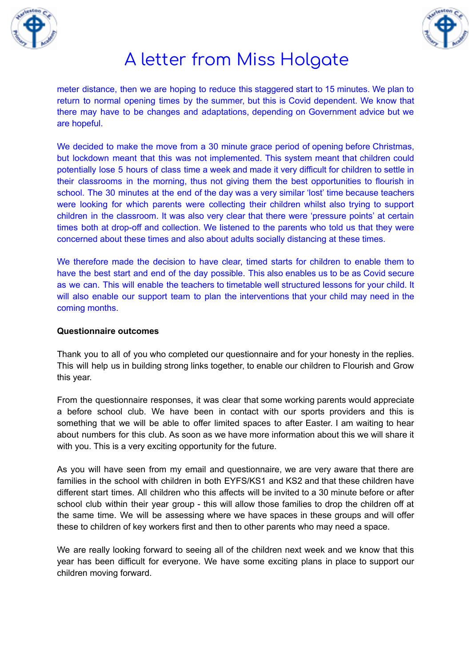



meter distance, then we are hoping to reduce this staggered start to 15 minutes. We plan to return to normal opening times by the summer, but this is Covid dependent. We know that there may have to be changes and adaptations, depending on Government advice but we are hopeful.

We decided to make the move from a 30 minute grace period of opening before Christmas, but lockdown meant that this was not implemented. This system meant that children could potentially lose 5 hours of class time a week and made it very difficult for children to settle in their classrooms in the morning, thus not giving them the best opportunities to flourish in school. The 30 minutes at the end of the day was a very similar 'lost' time because teachers were looking for which parents were collecting their children whilst also trying to support children in the classroom. It was also very clear that there were 'pressure points' at certain times both at drop-off and collection. We listened to the parents who told us that they were concerned about these times and also about adults socially distancing at these times.

We therefore made the decision to have clear, timed starts for children to enable them to have the best start and end of the day possible. This also enables us to be as Covid secure as we can. This will enable the teachers to timetable well structured lessons for your child. It will also enable our support team to plan the interventions that your child may need in the coming months.

### **Questionnaire outcomes**

Thank you to all of you who completed our questionnaire and for your honesty in the replies. This will help us in building strong links together, to enable our children to Flourish and Grow this year.

From the questionnaire responses, it was clear that some working parents would appreciate a before school club. We have been in contact with our sports providers and this is something that we will be able to offer limited spaces to after Easter. I am waiting to hear about numbers for this club. As soon as we have more information about this we will share it with you. This is a very exciting opportunity for the future.

As you will have seen from my email and questionnaire, we are very aware that there are families in the school with children in both EYFS/KS1 and KS2 and that these children have different start times. All children who this affects will be invited to a 30 minute before or after school club within their year group - this will allow those families to drop the children off at the same time. We will be assessing where we have spaces in these groups and will offer these to children of key workers first and then to other parents who may need a space.

We are really looking forward to seeing all of the children next week and we know that this year has been difficult for everyone. We have some exciting plans in place to support our children moving forward.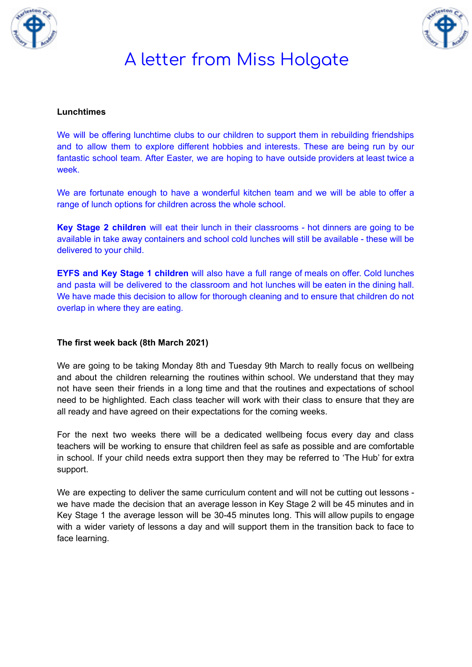



### **Lunchtimes**

We will be offering lunchtime clubs to our children to support them in rebuilding friendships and to allow them to explore different hobbies and interests. These are being run by our fantastic school team. After Easter, we are hoping to have outside providers at least twice a week.

We are fortunate enough to have a wonderful kitchen team and we will be able to offer a range of lunch options for children across the whole school.

**Key Stage 2 children** will eat their lunch in their classrooms - hot dinners are going to be available in take away containers and school cold lunches will still be available - these will be delivered to your child.

**EYFS and Key Stage 1 children** will also have a full range of meals on offer. Cold lunches and pasta will be delivered to the classroom and hot lunches will be eaten in the dining hall. We have made this decision to allow for thorough cleaning and to ensure that children do not overlap in where they are eating.

## **The first week back (8th March 2021)**

We are going to be taking Monday 8th and Tuesday 9th March to really focus on wellbeing and about the children relearning the routines within school. We understand that they may not have seen their friends in a long time and that the routines and expectations of school need to be highlighted. Each class teacher will work with their class to ensure that they are all ready and have agreed on their expectations for the coming weeks.

For the next two weeks there will be a dedicated wellbeing focus every day and class teachers will be working to ensure that children feel as safe as possible and are comfortable in school. If your child needs extra support then they may be referred to 'The Hub' for extra support.

We are expecting to deliver the same curriculum content and will not be cutting out lessons we have made the decision that an average lesson in Key Stage 2 will be 45 minutes and in Key Stage 1 the average lesson will be 30-45 minutes long. This will allow pupils to engage with a wider variety of lessons a day and will support them in the transition back to face to face learning.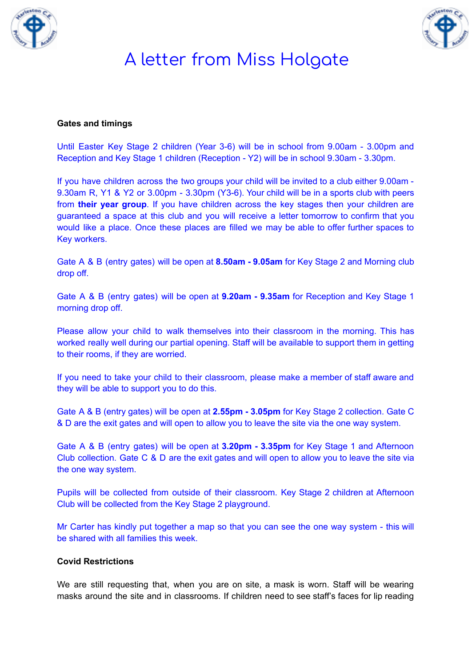



#### **Gates and timings**

Until Easter Key Stage 2 children (Year 3-6) will be in school from 9.00am - 3.00pm and Reception and Key Stage 1 children (Reception - Y2) will be in school 9.30am - 3.30pm.

If you have children across the two groups your child will be invited to a club either 9.00am - 9.30am R, Y1 & Y2 or 3.00pm - 3.30pm (Y3-6). Your child will be in a sports club with peers from **their year group**. If you have children across the key stages then your children are guaranteed a space at this club and you will receive a letter tomorrow to confirm that you would like a place. Once these places are filled we may be able to offer further spaces to Key workers.

Gate A & B (entry gates) will be open at **8.50am - 9.05am** for Key Stage 2 and Morning club drop off.

Gate A & B (entry gates) will be open at **9.20am - 9.35am** for Reception and Key Stage 1 morning drop off.

Please allow your child to walk themselves into their classroom in the morning. This has worked really well during our partial opening. Staff will be available to support them in getting to their rooms, if they are worried.

If you need to take your child to their classroom, please make a member of staff aware and they will be able to support you to do this.

Gate A & B (entry gates) will be open at **2.55pm - 3.05pm** for Key Stage 2 collection. Gate C & D are the exit gates and will open to allow you to leave the site via the one way system.

Gate A & B (entry gates) will be open at **3.20pm - 3.35pm** for Key Stage 1 and Afternoon Club collection. Gate C & D are the exit gates and will open to allow you to leave the site via the one way system.

Pupils will be collected from outside of their classroom. Key Stage 2 children at Afternoon Club will be collected from the Key Stage 2 playground.

Mr Carter has kindly put together a map so that you can see the one way system - this will be shared with all families this week.

### **Covid Restrictions**

We are still requesting that, when you are on site, a mask is worn. Staff will be wearing masks around the site and in classrooms. If children need to see staff's faces for lip reading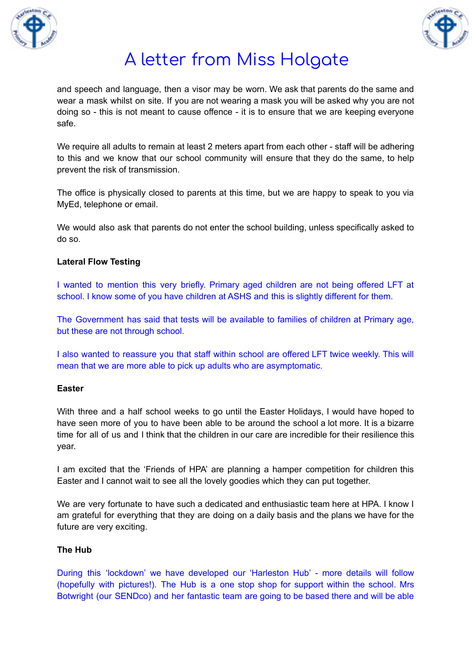



and speech and language, then a visor may be worn. We ask that parents do the same and wear a mask whilst on site. If you are not wearing a mask you will be asked why you are not doing so - this is not meant to cause offence - it is to ensure that we are keeping everyone safe.

We require all adults to remain at least 2 meters apart from each other - staff will be adhering to this and we know that our school community will ensure that they do the same, to help prevent the risk of transmission.

The office is physically closed to parents at this time, but we are happy to speak to you via MyEd, telephone or email.

We would also ask that parents do not enter the school building, unless specifically asked to do so.

## **Lateral Flow Testing**

I wanted to mention this very briefly. Primary aged children are not being offered LFT at school. I know some of you have children at ASHS and this is slightly different for them.

The Government has said that tests will be available to families of children at Primary age, but these are not through school.

I also wanted to reassure you that staff within school are offered LFT twice weekly. This will mean that we are more able to pick up adults who are asymptomatic.

#### **Easter**

With three and a half school weeks to go until the Easter Holidays, I would have hoped to have seen more of you to have been able to be around the school a lot more. It is a bizarre time for all of us and I think that the children in our care are incredible for their resilience this year.

I am excited that the 'Friends of HPA' are planning a hamper competition for children this Easter and I cannot wait to see all the lovely goodies which they can put together.

We are very fortunate to have such a dedicated and enthusiastic team here at HPA. I know I am grateful for everything that they are doing on a daily basis and the plans we have for the future are very exciting.

## **The Hub**

During this 'lockdown' we have developed our 'Harleston Hub' - more details will follow (hopefully with pictures!). The Hub is a one stop shop for support within the school. Mrs Botwright (our SENDco) and her fantastic team are going to be based there and will be able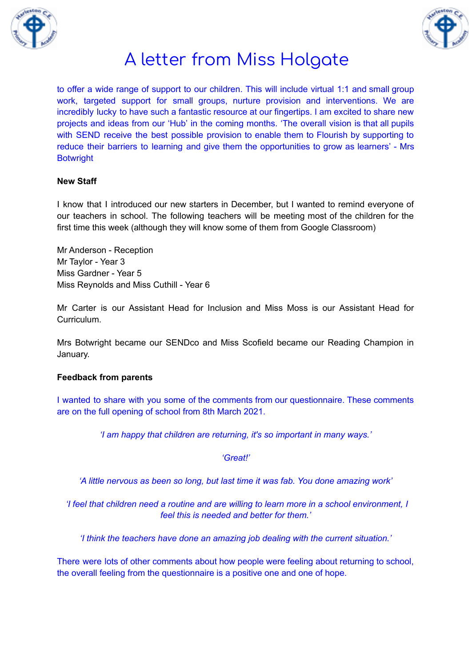



to offer a wide range of support to our children. This will include virtual 1:1 and small group work, targeted support for small groups, nurture provision and interventions. We are incredibly lucky to have such a fantastic resource at our fingertips. I am excited to share new projects and ideas from our 'Hub' in the coming months. 'The overall vision is that all pupils with SEND receive the best possible provision to enable them to Flourish by supporting to reduce their barriers to learning and give them the opportunities to grow as learners' - Mrs **Botwright** 

### **New Staff**

I know that I introduced our new starters in December, but I wanted to remind everyone of our teachers in school. The following teachers will be meeting most of the children for the first time this week (although they will know some of them from Google Classroom)

Mr Anderson - Reception Mr Taylor - Year 3 Miss Gardner - Year 5 Miss Reynolds and Miss Cuthill - Year 6

Mr Carter is our Assistant Head for Inclusion and Miss Moss is our Assistant Head for **Curriculum** 

Mrs Botwright became our SENDco and Miss Scofield became our Reading Champion in January.

#### **Feedback from parents**

I wanted to share with you some of the comments from our questionnaire. These comments are on the full opening of school from 8th March 2021.

*'I am happy that children are returning, it's so important in many ways.'*

*'Great!'*

*'A little nervous as been so long, but last time it was fab. You done amazing work'*

*'I feel that children need a routine and are willing to learn more in a school environment, I feel this is needed and better for them.'*

*'I think the teachers have done an amazing job dealing with the current situation.'*

There were lots of other comments about how people were feeling about returning to school, the overall feeling from the questionnaire is a positive one and one of hope.